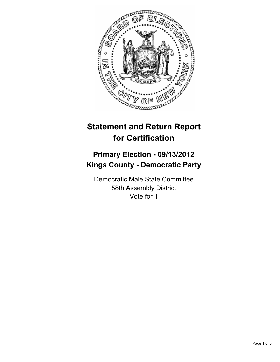

## **Statement and Return Report for Certification**

## **Primary Election - 09/13/2012 Kings County - Democratic Party**

Democratic Male State Committee 58th Assembly District Vote for 1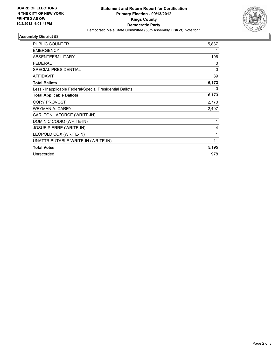

## **Assembly District 58**

| <b>PUBLIC COUNTER</b>                                    | 5,887 |
|----------------------------------------------------------|-------|
| <b>EMERGENCY</b>                                         | 1     |
| ABSENTEE/MILITARY                                        | 196   |
| <b>FEDERAL</b>                                           | 0     |
| <b>SPECIAL PRESIDENTIAL</b>                              | 0     |
| <b>AFFIDAVIT</b>                                         | 89    |
| <b>Total Ballots</b>                                     | 6,173 |
| Less - Inapplicable Federal/Special Presidential Ballots | 0     |
| <b>Total Applicable Ballots</b>                          | 6,173 |
| <b>CORY PROVOST</b>                                      | 2,770 |
| <b>WEYMAN A. CAREY</b>                                   | 2,407 |
| CARLTON LATORCE (WRITE-IN)                               | 1     |
| DOMINIC CODIO (WRITE-IN)                                 | 1     |
| <b>JOSUE PIERRE (WRITE-IN)</b>                           | 4     |
| LEOPOLD COX (WRITE-IN)                                   | 1     |
| UNATTRIBUTABLE WRITE-IN (WRITE-IN)                       | 11    |
| <b>Total Votes</b>                                       | 5,195 |
| Unrecorded                                               | 978   |